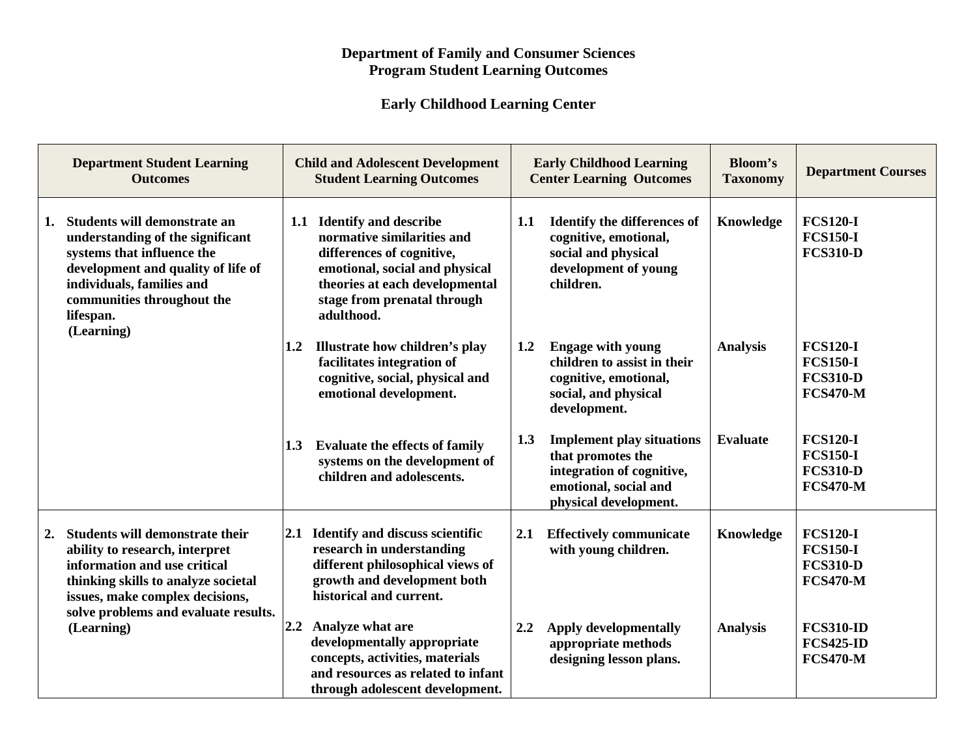## **Department of Family and Consumer Sciences Program Student Learning Outcomes**

## **Early Childhood Learning Center**

| <b>Department Student Learning</b><br><b>Outcomes</b>                                                                                                                                                                            | <b>Child and Adolescent Development</b><br><b>Student Learning Outcomes</b>                                                                                                                                     | <b>Early Childhood Learning</b><br><b>Center Learning Outcomes</b>                                                                          | <b>Bloom's</b><br><b>Taxonomy</b> | <b>Department Courses</b>                                                |
|----------------------------------------------------------------------------------------------------------------------------------------------------------------------------------------------------------------------------------|-----------------------------------------------------------------------------------------------------------------------------------------------------------------------------------------------------------------|---------------------------------------------------------------------------------------------------------------------------------------------|-----------------------------------|--------------------------------------------------------------------------|
| Students will demonstrate an<br>1.<br>understanding of the significant<br>systems that influence the<br>development and quality of life of<br>individuals, families and<br>communities throughout the<br>lifespan.<br>(Learning) | <b>Identify and describe</b><br>1.1<br>normative similarities and<br>differences of cognitive,<br>emotional, social and physical<br>theories at each developmental<br>stage from prenatal through<br>adulthood. | <b>Identify the differences of</b><br>1.1<br>cognitive, emotional,<br>social and physical<br>development of young<br>children.              | Knowledge                         | <b>FCS120-I</b><br><b>FCS150-I</b><br><b>FCS310-D</b>                    |
|                                                                                                                                                                                                                                  | Illustrate how children's play<br>1.2<br>facilitates integration of<br>cognitive, social, physical and<br>emotional development.                                                                                | <b>Engage with young</b><br>1.2<br>children to assist in their<br>cognitive, emotional,<br>social, and physical<br>development.             | <b>Analysis</b>                   | <b>FCS120-I</b><br><b>FCS150-I</b><br><b>FCS310-D</b><br><b>FCS470-M</b> |
|                                                                                                                                                                                                                                  | <b>Evaluate the effects of family</b><br>1.3<br>systems on the development of<br>children and adolescents.                                                                                                      | 1.3<br><b>Implement play situations</b><br>that promotes the<br>integration of cognitive,<br>emotional, social and<br>physical development. | <b>Evaluate</b>                   | <b>FCS120-I</b><br><b>FCS150-I</b><br><b>FCS310-D</b><br><b>FCS470-M</b> |
| <b>Students will demonstrate their</b><br>2.<br>ability to research, interpret<br>information and use critical<br>thinking skills to analyze societal<br>issues, make complex decisions,<br>solve problems and evaluate results. | <b>Identify and discuss scientific</b><br>2.1<br>research in understanding<br>different philosophical views of<br>growth and development both<br>historical and current.                                        | <b>Effectively communicate</b><br>2.1<br>with young children.                                                                               | Knowledge                         | <b>FCS120-I</b><br><b>FCS150-I</b><br><b>FCS310-D</b><br><b>FCS470-M</b> |
| (Learning)                                                                                                                                                                                                                       | 2.2 Analyze what are<br>developmentally appropriate<br>concepts, activities, materials<br>and resources as related to infant<br>through adolescent development.                                                 | <b>Apply developmentally</b><br>2.2<br>appropriate methods<br>designing lesson plans.                                                       | <b>Analysis</b>                   | <b>FCS310-ID</b><br><b>FCS425-ID</b><br><b>FCS470-M</b>                  |